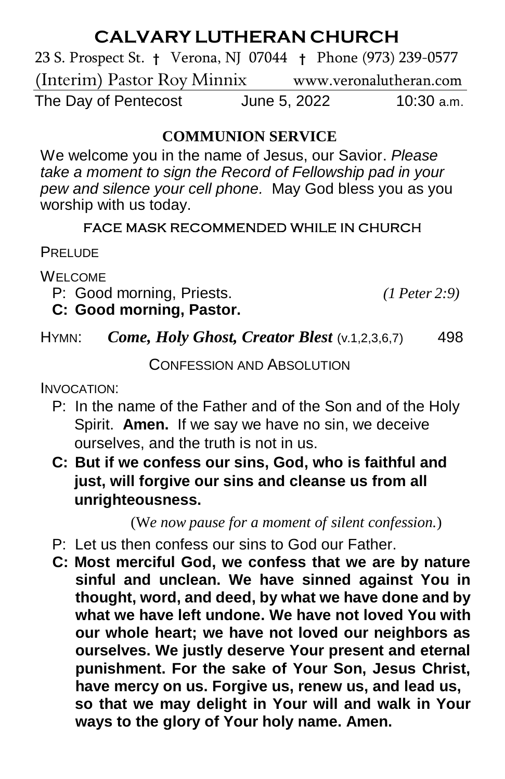# **CALVARY LUTHERAN CHURCH**

23 S. Prospect St. **†** Verona, NJ 07044 **†** Phone (973) 239-0577 (Interim) Pastor Roy Minnixwww.veronalutheran.com The Day of Pentecost June 5, 2022 10:30 a.m.

#### **COMMUNION SERVICE**

We welcome you in the name of Jesus, our Savior. *Please take a moment to sign the Record of Fellowship pad in your pew and silence your cell phone.* May God bless you as you worship with us today.

#### FACE MASK RECOMMENDED WHILE IN CHURCH

**PRELUDE** 

WELCOME

P: Good morning, Priests. *(1 Peter 2:9)* **C: Good morning, Pastor.**

## HYMN: *Come, Holy Ghost, Creator Blest* (v.1,2,3,6,7) 498

CONFESSION AND ABSOLUTION

INVOCATION:

- P: In the name of the Father and of the Son and of the Holy Spirit. **Amen.** If we say we have no sin, we deceive ourselves, and the truth is not in us.
- **C: But if we confess our sins, God, who is faithful and just, will forgive our sins and cleanse us from all unrighteousness.**

(W*e now pause for a moment of silent confession.*)

- P: Let us then confess our sins to God our Father.
- **C: Most merciful God, we confess that we are by nature sinful and unclean. We have sinned against You in thought, word, and deed, by what we have done and by what we have left undone. We have not loved You with our whole heart; we have not loved our neighbors as ourselves. We justly deserve Your present and eternal punishment. For the sake of Your Son, Jesus Christ, have mercy on us. Forgive us, renew us, and lead us, so that we may delight in Your will and walk in Your ways to the glory of Your holy name. Amen.**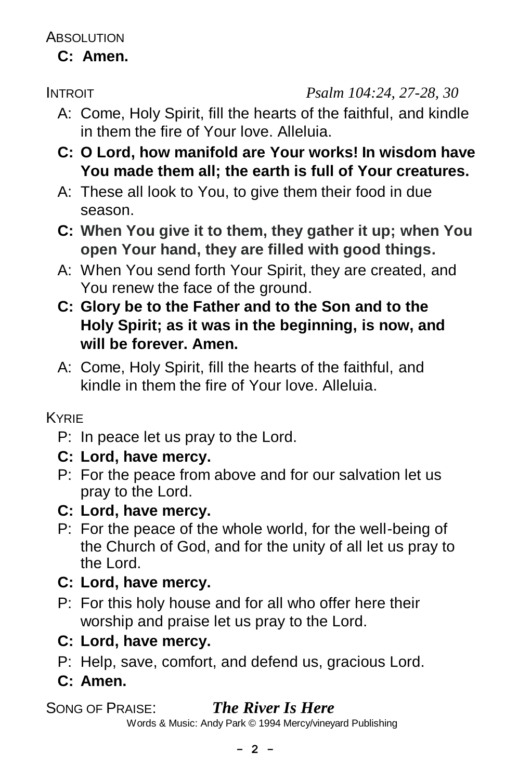ABSOLUTION

**C: Amen.**

INTROIT *Psalm 104:24, 27-28, 30*

- A: Come, Holy Spirit, fill the hearts of the faithful, and kindle in them the fire of Your love. Alleluia.
- **C: O Lord, how manifold are Your works! In wisdom have You made them all; the earth is full of Your creatures.**
- A: These all look to You, to give them their food in due season.
- **C: When You give it to them, they gather it up; when You open Your hand, they are filled with good things.**
- A: When You send forth Your Spirit, they are created, and You renew the face of the ground.
- **C: Glory be to the Father and to the Son and to the Holy Spirit; as it was in the beginning, is now, and will be forever. Amen.**
- A: Come, Holy Spirit, fill the hearts of the faithful, and kindle in them the fire of Your love. Alleluia.

## KYRIE

- P: In peace let us pray to the Lord.
- **C: Lord, have mercy.**
- P: For the peace from above and for our salvation let us pray to the Lord.
- **C: Lord, have mercy.**
- P: For the peace of the whole world, for the well-being of the Church of God, and for the unity of all let us pray to the Lord.
- **C: Lord, have mercy.**
- P: For this holy house and for all who offer here their worship and praise let us pray to the Lord.
- **C: Lord, have mercy.**
- P: Help, save, comfort, and defend us, gracious Lord.
- **C: Amen.**

# SONG OF PRAISE: *The River Is Here*

Words & Music: Andy Park © 1994 Mercy/vineyard Publishing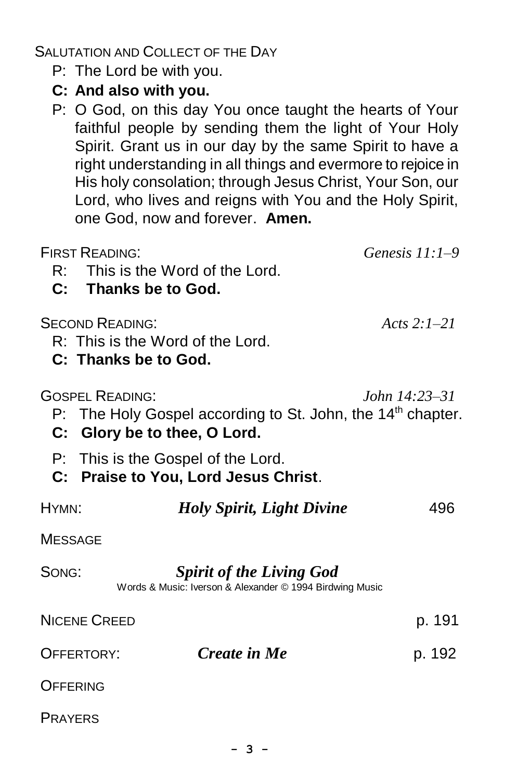SALUTATION AND COLLECT OF THE DAY

- P: The Lord be with you.
- **C: And also with you.**
- P: O God, on this day You once taught the hearts of Your faithful people by sending them the light of Your Holy Spirit. Grant us in our day by the same Spirit to have a right understanding in all things and evermore to rejoice in His holy consolation; through Jesus Christ, Your Son, our Lord, who lives and reigns with You and the Holy Spirit, one God, now and forever. **Amen.**

| <b>FIRST READING:</b><br>R: This is the Word of the Lord.<br>C: Thanks be to God.                                                 | Genesis $11:1-9$       |
|-----------------------------------------------------------------------------------------------------------------------------------|------------------------|
| <b>SECOND READING:</b><br>R: This is the Word of the Lord.<br>C: Thanks be to God.                                                | Acts $2.1-21$          |
| <b>GOSPEL READING:</b><br>P: The Holy Gospel according to St. John, the 14 <sup>th</sup> chapter.<br>C: Glory be to thee, O Lord. | <i>John</i> $14:23-31$ |
| P: This is the Gospel of the Lord.<br>C: Praise to You, Lord Jesus Christ.                                                        |                        |
| HYMN:<br><b>Holy Spirit, Light Divine</b>                                                                                         | 496                    |
| <b>MESSAGE</b>                                                                                                                    |                        |
| SONG:<br><b>Spirit of the Living God</b><br>Words & Music: Iverson & Alexander © 1994 Birdwing Music                              |                        |
| <b>NICENE CREED</b>                                                                                                               | p. 191                 |
| <b>Create in Me</b><br>OFFERTORY:                                                                                                 | p. 192                 |
| OFFERING                                                                                                                          |                        |
| <b>PRAYERS</b>                                                                                                                    |                        |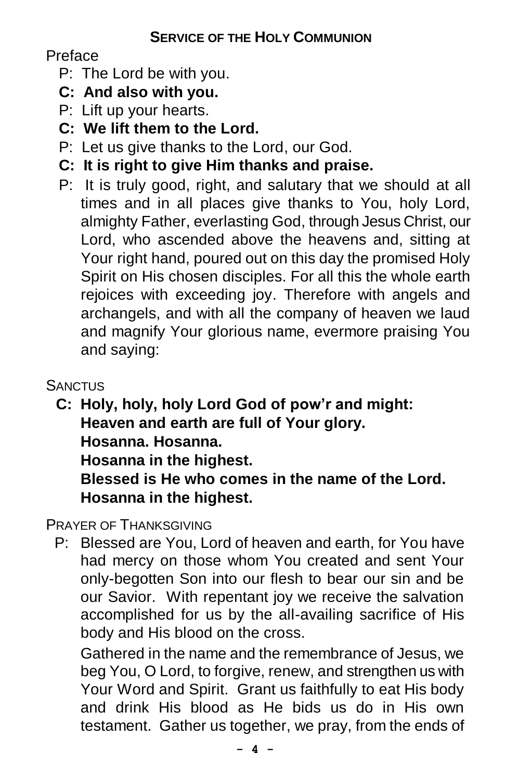## Preface

- P: The Lord be with you.
- **C: And also with you.**
- P: Lift up your hearts.
- **C: We lift them to the Lord.**
- P: Let us give thanks to the Lord, our God.
- **C: It is right to give Him thanks and praise.**
- P: It is truly good, right, and salutary that we should at all times and in all places give thanks to You, holy Lord, almighty Father, everlasting God, through Jesus Christ, our Lord, who ascended above the heavens and, sitting at Your right hand, poured out on this day the promised Holy Spirit on His chosen disciples. For all this the whole earth rejoices with exceeding joy. Therefore with angels and archangels, and with all the company of heaven we laud and magnify Your glorious name, evermore praising You and saying:

## **SANCTUS**

 **C: Holy, holy, holy Lord God of pow'r and might: Heaven and earth are full of Your glory. Hosanna. Hosanna.**

**Hosanna in the highest.**

**Blessed is He who comes in the name of the Lord. Hosanna in the highest.**

PRAYER OF THANKSGIVING

 P: Blessed are You, Lord of heaven and earth, for You have had mercy on those whom You created and sent Your only-begotten Son into our flesh to bear our sin and be our Savior. With repentant joy we receive the salvation accomplished for us by the all-availing sacrifice of His body and His blood on the cross.

Gathered in the name and the remembrance of Jesus, we beg You, O Lord, to forgive, renew, and strengthen us with Your Word and Spirit. Grant us faithfully to eat His body and drink His blood as He bids us do in His own testament. Gather us together, we pray, from the ends of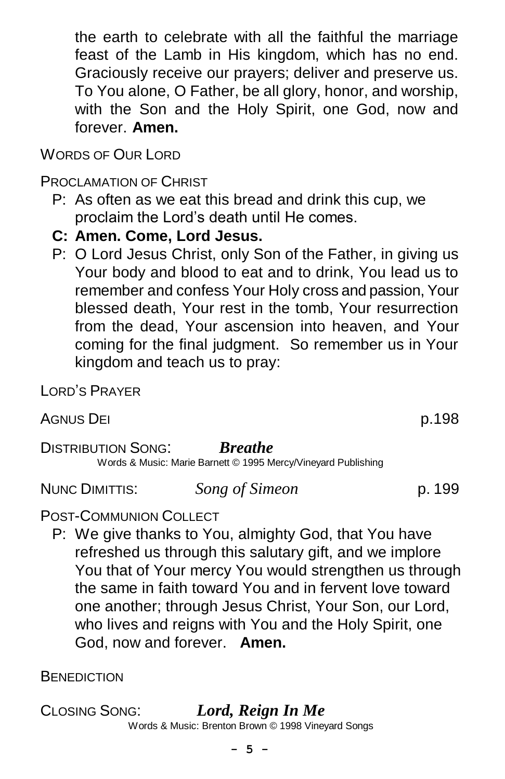the earth to celebrate with all the faithful the marriage feast of the Lamb in His kingdom, which has no end. Graciously receive our prayers; deliver and preserve us. To You alone, O Father, be all glory, honor, and worship, with the Son and the Holy Spirit, one God, now and forever. **Amen.**

WORDS OF OUR LORD

PROCLAMATION OF CHRIST

- P: As often as we eat this bread and drink this cup, we proclaim the Lord's death until He comes.
- **C: Amen. Come, Lord Jesus.**
- P: O Lord Jesus Christ, only Son of the Father, in giving us Your body and blood to eat and to drink, You lead us to remember and confess Your Holy cross and passion, Your blessed death, Your rest in the tomb, Your resurrection from the dead, Your ascension into heaven, and Your coming for the final judgment. So remember us in Your kingdom and teach us to pray:

LORD'S PRAYER

AGNUS DEI p.198

DISTRIBUTION SONG: *Breathe*

Words & Music: Marie Barnett © 1995 Mercy/Vineyard Publishing

NUNC DIMITTIS: *Song of Simeon* p. 199

## POST-COMMUNION COLLECT

P: We give thanks to You, almighty God, that You have refreshed us through this salutary gift, and we implore You that of Your mercy You would strengthen us through the same in faith toward You and in fervent love toward one another; through Jesus Christ, Your Son, our Lord, who lives and reigns with You and the Holy Spirit, one God, now and forever. **Amen.**

BENEDICTION

CLOSING SONG:*Lord, Reign In Me* Words & Music: Brenton Brown © 1998 Vineyard Songs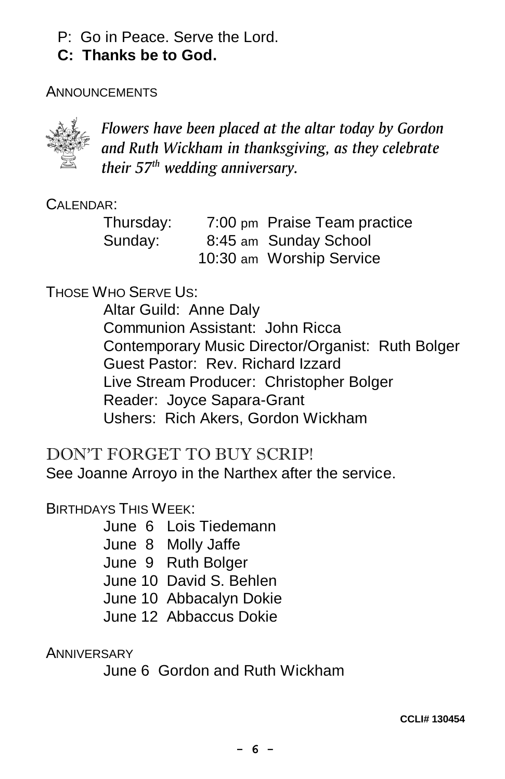- P: Go in Peace. Serve the Lord.
- **C: Thanks be to God.**

#### **ANNOUNCEMENTS**



*Flowers have been placed at the altar today by Gordon and Ruth Wickham in thanksgiving, as they celebrate their 57th wedding anniversary.*

CALENDAR:

| Thursday: | 7:00 pm Praise Team practice |
|-----------|------------------------------|
| Sunday:   | 8:45 am Sunday School        |
|           | 10:30 am Worship Service     |

## THOSE WHO SERVE US:

Altar Guild: Anne Daly Communion Assistant: John Ricca Contemporary Music Director/Organist: Ruth Bolger Guest Pastor: Rev. Richard Izzard Live Stream Producer: Christopher Bolger Reader: Joyce Sapara-Grant Ushers: Rich Akers, Gordon Wickham

## DON'T FORGET TO BUY SCRIP!

See Joanne Arroyo in the Narthex after the service.

#### BIRTHDAYS THIS WEEK:

- June 6 Lois Tiedemann
- June 8 Molly Jaffe
- June 9 Ruth Bolger
- June 10 David S. Behlen
- June 10 Abbacalyn Dokie
- June 12 Abbaccus Dokie

**ANNIVERSARY** 

June 6 Gordon and Ruth Wickham